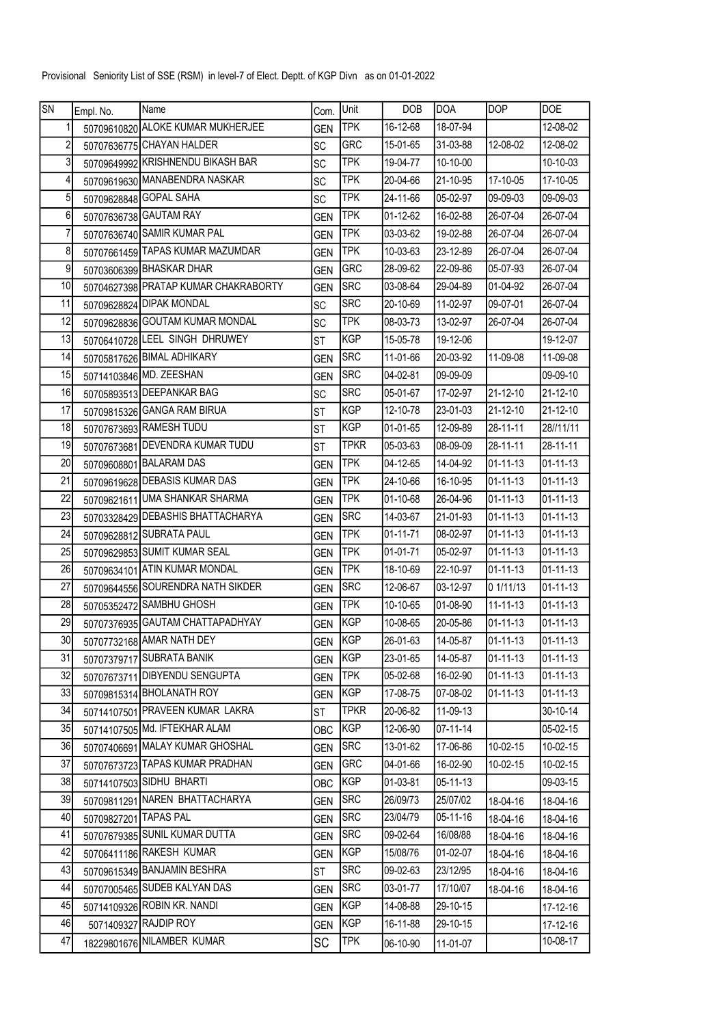Provisional Seniority List of SSE (RSM) in level-7 of Elect. Deptt. of KGP Divn as on 01-01-2022

| $\overline{\mathsf{SN}}$ | Empl. No.             | Name                                 | Com.       | Unit        | <b>DOB</b> | <b>DOA</b> | DOP            | DOE            |
|--------------------------|-----------------------|--------------------------------------|------------|-------------|------------|------------|----------------|----------------|
|                          |                       | 50709610820 ALOKE KUMAR MUKHERJEE    | <b>GEN</b> | <b>TPK</b>  | 16-12-68   | 18-07-94   |                | 12-08-02       |
| 2                        |                       | 50707636775 CHAYAN HALDER            | <b>SC</b>  | <b>GRC</b>  | 15-01-65   | 31-03-88   | 12-08-02       | 12-08-02       |
| $\overline{3}$           |                       | 50709649992 KRISHNENDU BIKASH BAR    | <b>SC</b>  | <b>TPK</b>  | 19-04-77   | 10-10-00   |                | 10-10-03       |
| 4                        |                       | 50709619630 MANABENDRA NASKAR        | SC         | <b>TPK</b>  | 20-04-66   | 21-10-95   | 17-10-05       | 17-10-05       |
| $\sqrt{5}$               |                       | 50709628848 GOPAL SAHA               | <b>SC</b>  | <b>TPK</b>  | 24-11-66   | 05-02-97   | 09-09-03       | 09-09-03       |
| 6                        |                       | 50707636738 GAUTAM RAY               | <b>GEN</b> | <b>TPK</b>  | 01-12-62   | 16-02-88   | 26-07-04       | 26-07-04       |
| 7                        |                       | 50707636740 SAMIR KUMAR PAL          | <b>GEN</b> | <b>TPK</b>  | 03-03-62   | 19-02-88   | 26-07-04       | 26-07-04       |
| 8                        |                       | 50707661459 TAPAS KUMAR MAZUMDAR     | <b>GEN</b> | <b>TPK</b>  | 10-03-63   | 23-12-89   | 26-07-04       | 26-07-04       |
| 9                        |                       | 50703606399 BHASKAR DHAR             | <b>GEN</b> | <b>GRC</b>  | 28-09-62   | 22-09-86   | 05-07-93       | 26-07-04       |
| 10                       |                       | 50704627398 PRATAP KUMAR CHAKRABORTY | <b>GEN</b> | <b>SRC</b>  | 03-08-64   | 29-04-89   | 01-04-92       | 26-07-04       |
| 11                       |                       | 50709628824 DIPAK MONDAL             | <b>SC</b>  | <b>SRC</b>  | 20-10-69   | 11-02-97   | 09-07-01       | 26-07-04       |
| 12                       |                       | 50709628836 GOUTAM KUMAR MONDAL      | <b>SC</b>  | <b>TPK</b>  | 08-03-73   | 13-02-97   | 26-07-04       | 26-07-04       |
| 13                       |                       | 50706410728 LEEL SINGH DHRUWEY       | <b>ST</b>  | <b>KGP</b>  | 15-05-78   | 19-12-06   |                | 19-12-07       |
| 14                       |                       | 50705817626 BIMAL ADHIKARY           | <b>GEN</b> | <b>SRC</b>  | 11-01-66   | 20-03-92   | 11-09-08       | 11-09-08       |
| 15                       |                       | 50714103846 MD. ZEESHAN              | <b>GEN</b> | <b>SRC</b>  | 04-02-81   | 09-09-09   |                | 09-09-10       |
| 16                       |                       | 50705893513 DEEPANKAR BAG            | <b>SC</b>  | <b>SRC</b>  | 05-01-67   | 17-02-97   | 21-12-10       | 21-12-10       |
| 17                       |                       | 50709815326 GANGA RAM BIRUA          | <b>ST</b>  | <b>KGP</b>  | 12-10-78   | 23-01-03   | 21-12-10       | 21-12-10       |
| 18                       |                       | 50707673693 RAMESH TUDU              | <b>ST</b>  | <b>KGP</b>  | 01-01-65   | 12-09-89   | 28-11-11       | 28//11/11      |
| 19                       |                       | 50707673681 DEVENDRA KUMAR TUDU      | <b>ST</b>  | <b>TPKR</b> | 05-03-63   | 08-09-09   | 28-11-11       | 28-11-11       |
| 20                       |                       | 50709608801 BALARAM DAS              | <b>GEN</b> | <b>TPK</b>  | 04-12-65   | 14-04-92   | 01-11-13       | 01-11-13       |
| 21                       |                       | 50709619628 DEBASIS KUMAR DAS        | <b>GEN</b> | <b>TPK</b>  | 24-10-66   | 16-10-95   | 01-11-13       | $01 - 11 - 13$ |
| 22                       |                       | 50709621611 UMA SHANKAR SHARMA       | <b>GEN</b> | <b>TPK</b>  | 01-10-68   | 26-04-96   | 01-11-13       | 01-11-13       |
| 23                       |                       | 50703328429 DEBASHIS BHATTACHARYA    | <b>GEN</b> | <b>SRC</b>  | 14-03-67   | 21-01-93   | 01-11-13       | $01 - 11 - 13$ |
| 24                       |                       | 50709628812 SUBRATA PAUL             | <b>GEN</b> | <b>TPK</b>  | 01-11-71   | 08-02-97   | 01-11-13       | $01 - 11 - 13$ |
| 25                       |                       | 50709629853 SUMIT KUMAR SEAL         | <b>GEN</b> | <b>TPK</b>  | 01-01-71   | 05-02-97   | 01-11-13       | 01-11-13       |
| 26                       |                       | 50709634101 ATIN KUMAR MONDAL        | <b>GEN</b> | <b>TPK</b>  | 18-10-69   | 22-10-97   | 01-11-13       | $01 - 11 - 13$ |
| 27                       |                       | 50709644556 SOURENDRA NATH SIKDER    | <b>GEN</b> | <b>SRC</b>  | 12-06-67   | 03-12-97   | 0 1/11/13      | 01-11-13       |
| 28                       |                       | 50705352472 SAMBHU GHOSH             | <b>GEN</b> | TPK         | 10-10-65   | 01-08-90   | 11-11-13       | $01 - 11 - 13$ |
| 29                       |                       | 50707376935 GAUTAM CHATTAPADHYAY     | <b>GEN</b> | KGP         | 10-08-65   | 20-05-86   | $01 - 11 - 13$ | $01 - 11 - 13$ |
| 30                       |                       | 50707732168 AMAR NATH DEY            | <b>GEN</b> | KGP         | 26-01-63   | 14-05-87   | 01-11-13       | 01-11-13       |
| 31                       |                       | 50707379717 SUBRATA BANIK            | <b>GEN</b> | KGP         | 23-01-65   | 14-05-87   | 01-11-13       | 01-11-13       |
| 32                       |                       | 50707673711 DIBYENDU SENGUPTA        | <b>GEN</b> | <b>TPK</b>  | 05-02-68   | 16-02-90   | 01-11-13       | 01-11-13       |
| 33                       |                       | 50709815314 BHOLANATH ROY            | <b>GEN</b> | KGP         | 17-08-75   | 07-08-02   | 01-11-13       | 01-11-13       |
| 34                       |                       | 50714107501 PRAVEEN KUMAR LAKRA      | <b>ST</b>  | <b>TPKR</b> | 20-06-82   | 11-09-13   |                | 30-10-14       |
| 35                       |                       | 50714107505 Md. IFTEKHAR ALAM        | <b>OBC</b> | KGP         | 12-06-90   | 07-11-14   |                | 05-02-15       |
| 36                       |                       | 50707406691 MALAY KUMAR GHOSHAL      | <b>GEN</b> | <b>SRC</b>  | 13-01-62   | 17-06-86   | 10-02-15       | 10-02-15       |
| 37                       |                       | 50707673723 TAPAS KUMAR PRADHAN      | <b>GEN</b> | <b>GRC</b>  | 04-01-66   | 16-02-90   | 10-02-15       | 10-02-15       |
| 38                       |                       | 50714107503 SIDHU BHARTI             | OBC        | KGP         | 01-03-81   | 05-11-13   |                | 09-03-15       |
| 39                       |                       | 50709811291 NAREN BHATTACHARYA       | <b>GEN</b> | <b>SRC</b>  | 26/09/73   | 25/07/02   | 18-04-16       | 18-04-16       |
| 40                       | 50709827201 TAPAS PAL |                                      | <b>GEN</b> | <b>SRC</b>  | 23/04/79   | 05-11-16   | 18-04-16       | 18-04-16       |
| 41                       |                       | 50707679385 SUNIL KUMAR DUTTA        | <b>GEN</b> | <b>SRC</b>  | 09-02-64   | 16/08/88   | 18-04-16       | 18-04-16       |
| 42                       |                       | 50706411186 RAKESH KUMAR             | <b>GEN</b> | KGP         | 15/08/76   | 01-02-07   | 18-04-16       | 18-04-16       |
| 43                       |                       | 50709615349 BANJAMIN BESHRA          | <b>ST</b>  | <b>SRC</b>  | 09-02-63   | 23/12/95   | 18-04-16       | 18-04-16       |
| 44                       |                       | 50707005465 SUDEB KALYAN DAS         | <b>GEN</b> | <b>SRC</b>  | 03-01-77   | 17/10/07   | 18-04-16       | 18-04-16       |
| 45                       |                       | 50714109326 ROBIN KR. NANDI          | <b>GEN</b> | KGP         | 14-08-88   | 29-10-15   |                | 17-12-16       |
| 46                       |                       | 5071409327 RAJDIP ROY                | <b>GEN</b> | KGP         | 16-11-88   | 29-10-15   |                | 17-12-16       |
| 47                       |                       | 18229801676 NILAMBER KUMAR           | SC         | <b>TPK</b>  | 06-10-90   | 11-01-07   |                | 10-08-17       |